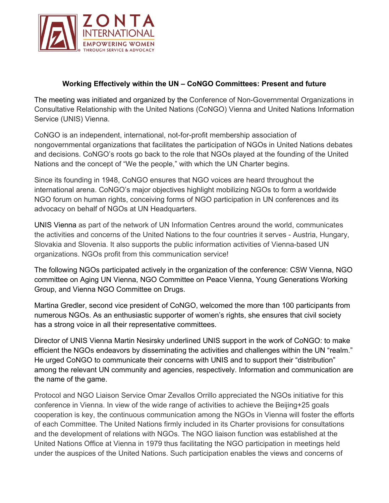

## **Working Effectively within the UN – CoNGO Committees: Present and future**

The meeting was initiated and organized by the Conference of Non-Governmental Organizations in Consultative Relationship with the United Nations (CoNGO) Vienna and United Nations Information Service (UNIS) Vienna.

CoNGO is an independent, international, not-for-profit membership association of nongovernmental organizations that facilitates the participation of NGOs in United Nations debates and decisions. CoNGO's roots go back to the role that NGOs played at the founding of the United Nations and the concept of "We the people," with which the UN Charter begins.

Since its founding in 1948, CoNGO ensures that NGO voices are heard throughout the international arena. CoNGO's major objectives highlight mobilizing NGOs to form a worldwide NGO forum on human rights, conceiving forms of NGO participation in UN conferences and its advocacy on behalf of NGOs at UN Headquarters.

UNIS Vienna as part of the network of UN Information Centres around the world, communicates the activities and concerns of the United Nations to the four countries it serves - Austria, Hungary, Slovakia and Slovenia. It also supports the public information activities of Vienna-based UN organizations. NGOs profit from this communication service!

The following NGOs participated actively in the organization of the conference: CSW Vienna, NGO committee on Aging UN Vienna, NGO Committee on Peace Vienna, Young Generations Working Group, and Vienna NGO Committee on Drugs.

Martina Gredler, second vice president of CoNGO, welcomed the more than 100 participants from numerous NGOs. As an enthusiastic supporter of women's rights, she ensures that civil society has a strong voice in all their representative committees.

Director of UNIS Vienna Martin Nesirsky underlined UNIS support in the work of CoNGO: to make efficient the NGOs endeavors by disseminating the activities and challenges within the UN "realm." He urged CoNGO to communicate their concerns with UNIS and to support their "distribution" among the relevant UN community and agencies, respectively. Information and communication are the name of the game.

Protocol and NGO Liaison Service Omar Zevallos Orrillo appreciated the NGOs initiative for this conference in Vienna. In view of the wide range of activities to achieve the Beijing+25 goals cooperation is key, the continuous communication among the NGOs in Vienna will foster the efforts of each Committee. The United Nations firmly included in its Charter provisions for consultations and the development of relations with NGOs. The NGO liaison function was established at the United Nations Office at Vienna in 1979 thus facilitating the NGO participation in meetings held under the auspices of the United Nations. Such participation enables the views and concerns of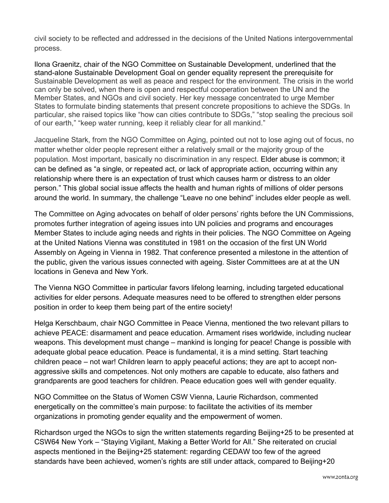civil society to be reflected and addressed in the decisions of the United Nations intergovernmental process.

Ilona Graenitz, chair of the NGO Committee on Sustainable Development, underlined that the stand-alone Sustainable Development Goal on gender equality represent the prerequisite for Sustainable Development as well as peace and respect for the environment. The crisis in the world can only be solved, when there is open and respectful cooperation between the UN and the Member States, and NGOs and civil society. Her key message concentrated to urge Member States to formulate binding statements that present concrete propositions to achieve the SDGs. In particular, she raised topics like "how can cities contribute to SDGs," "stop sealing the precious soil of our earth," "keep water running, keep it reliably clear for all mankind."

Jacqueline Stark, from the NGO Committee on Aging, pointed out not to lose aging out of focus, no matter whether older people represent either a relatively small or the majority group of the population. Most important, basically no discrimination in any respect. Elder abuse is common; it can be defined as "a single, or repeated act, or lack of appropriate action, occurring within any relationship where there is an expectation of trust which causes harm or distress to an older person." This global social issue affects the health and human rights of millions of older persons around the world. In summary, the challenge "Leave no one behind" includes elder people as well.

The Committee on Aging advocates on behalf of older persons' rights before the UN Commissions, promotes further integration of ageing issues into UN policies and programs and encourages Member States to include aging needs and rights in their policies. The NGO Committee on Ageing at the United Nations Vienna was constituted in 1981 on the occasion of the first UN World Assembly on Ageing in Vienna in 1982. That conference presented a milestone in the attention of the public, given the various issues connected with ageing. Sister Committees are at at the UN locations in Geneva and New York.

The Vienna NGO Committee in particular favors lifelong learning, including targeted educational activities for elder persons. Adequate measures need to be offered to strengthen elder persons position in order to keep them being part of the entire society!

Helga Kerschbaum, chair NGO Committee in Peace Vienna, mentioned the two relevant pillars to achieve PEACE: disarmament and peace education. Armament rises worldwide, including nuclear weapons. This development must change – mankind is longing for peace! Change is possible with adequate global peace education. Peace is fundamental, it is a mind setting. Start teaching children peace – not war! Children learn to apply peaceful actions; they are apt to accept nonaggressive skills and competences. Not only mothers are capable to educate, also fathers and grandparents are good teachers for children. Peace education goes well with gender equality.

NGO Committee on the Status of Women CSW Vienna, Laurie Richardson, commented energetically on the committee's main purpose: to facilitate the activities of its member organizations in promoting gender equality and the empowerment of women.

Richardson urged the NGOs to sign the written statements regarding Beijing+25 to be presented at CSW64 New York – "Staying Vigilant, Making a Better World for All." She reiterated on crucial aspects mentioned in the Beijing+25 statement: regarding CEDAW too few of the agreed standards have been achieved, women's rights are still under attack, compared to Beijing+20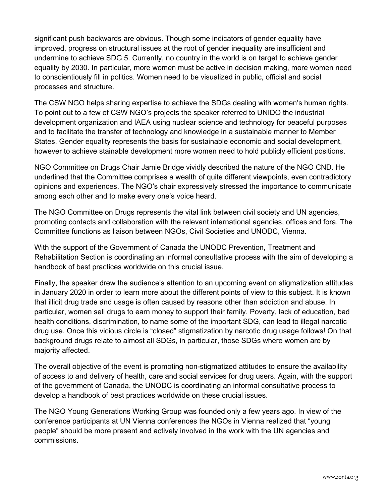significant push backwards are obvious. Though some indicators of gender equality have improved, progress on structural issues at the root of gender inequality are insufficient and undermine to achieve SDG 5. Currently, no country in the world is on target to achieve gender equality by 2030. In particular, more women must be active in decision making, more women need to conscientiously fill in politics. Women need to be visualized in public, official and social processes and structure.

The CSW NGO helps sharing expertise to achieve the SDGs dealing with women's human rights. To point out to a few of CSW NGO's projects the speaker referred to UNIDO the industrial development organization and IAEA using nuclear science and technology for peaceful purposes and to facilitate the transfer of technology and knowledge in a sustainable manner to Member States. Gender equality represents the basis for sustainable economic and social development, however to achieve stainable development more women need to hold publicly efficient positions.

NGO Committee on Drugs Chair Jamie Bridge vividly described the nature of the NGO CND. He underlined that the Committee comprises a wealth of quite different viewpoints, even contradictory opinions and experiences. The NGO's chair expressively stressed the importance to communicate among each other and to make every one's voice heard.

The NGO Committee on Drugs represents the vital link between civil society and UN agencies, promoting contacts and collaboration with the relevant international agencies, offices and fora. The Committee functions as liaison between NGOs, Civil Societies and UNODC, Vienna.

With the support of the Government of Canada the UNODC Prevention, Treatment and Rehabilitation Section is coordinating an informal consultative process with the aim of developing a handbook of best practices worldwide on this crucial issue.

Finally, the speaker drew the audience's attention to an upcoming event on stigmatization attitudes in January 2020 in order to learn more about the different points of view to this subject. It is known that illicit drug trade and usage is often caused by reasons other than addiction and abuse. In particular, women sell drugs to earn money to support their family. Poverty, lack of education, bad health conditions, discrimination, to name some of the important SDG, can lead to illegal narcotic drug use. Once this vicious circle is "closed" stigmatization by narcotic drug usage follows! On that background drugs relate to almost all SDGs, in particular, those SDGs where women are by majority affected.

The overall objective of the event is promoting non-stigmatized attitudes to ensure the availability of access to and delivery of health, care and social services for drug users. Again, with the support of the government of Canada, the UNODC is coordinating an informal consultative process to develop a handbook of best practices worldwide on these crucial issues.

The NGO Young Generations Working Group was founded only a few years ago. In view of the conference participants at UN Vienna conferences the NGOs in Vienna realized that "young people" should be more present and actively involved in the work with the UN agencies and commissions.